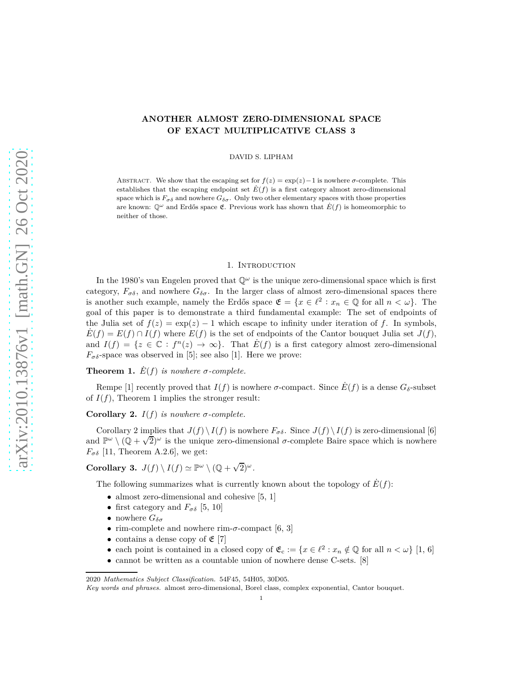## **ANOTHER ALMOST ZERO-DIMENSIONAL SPACE OF EXACT MULTIPLICATIVE CLASS 3**

DAVID S. LIPHAM

ABSTRACT. We show that the escaping set for  $f(z) = \exp(z) - 1$  is nowhere *σ*-complete. This establishes that the escaping endpoint set  $E(f)$  is a first category almost zero-dimensional space which is  $F_{\sigma\delta}$  and nowhere  $G_{\delta\sigma}$ . Only two other elementary spaces with those properties are known:  $\mathbb{Q}^{\omega}$  and Erdős space  $\mathfrak{E}$ . Previous work has shown that  $\dot{E}(f)$  is homeomorphic to neither of those.

## 1. INTRODUCTION

In the 1980's van Engelen proved that  $\mathbb{Q}^{\omega}$  is the unique zero-dimensional space which is first category,  $F_{\sigma\delta}$ , and nowhere  $G_{\delta\sigma}$ . In the larger class of almost zero-dimensional spaces there is another such example, namely the Erdős space  $\mathfrak{E} = \{x \in \ell^2 : x_n \in \mathbb{Q} \text{ for all } n < \omega\}$ . The goal of this paper is to demonstrate a third fundamental example: The set of endpoints of the Julia set of  $f(z) = \exp(z) - 1$  which escape to infinity under iteration of f. In symbols,  $E(f) = E(f) \cap I(f)$  where  $E(f)$  is the set of endpoints of the Cantor bouquet Julia set  $J(f)$ , and  $I(f) = \{z \in \mathbb{C} : f^n(z) \to \infty\}$ . That  $E(f)$  is a first category almost zero-dimensional  $F_{\sigma\delta}$ -space was observed in [\[5\]](#page-4-0); see also [\[1\]](#page-4-1). Here we prove:

**Theorem 1.**  $\dot{E}(f)$  *is nowhere*  $\sigma$ -complete.

Rempe [\[1\]](#page-4-1) recently proved that  $I(f)$  is nowhere *σ*-compact. Since  $\dot{E}(f)$  is a dense  $G_{\delta}$ -subset of  $I(f)$ , Theorem 1 implies the stronger result:

**Corollary 2.**  $I(f)$  *is nowhere*  $\sigma$ -complete.

Corollary 2 implies that  $J(f) \setminus I(f)$  is nowhere  $F_{\sigma\delta}$ . Since  $J(f) \setminus I(f)$  is zero-dimensional [\[6\]](#page-4-2) and  $\mathbb{P}^{\omega} \setminus (\mathbb{Q} + \sqrt{2})^{\omega}$  is the unique zero-dimensional *σ*-complete Baire space which is nowhere  $F_{\sigma\delta}$  [\[11,](#page-4-3) Theorem A.2.6], we get:

**Corollary 3.**  $J(f) \setminus I(f) \simeq \mathbb{P}^{\omega} \setminus (\mathbb{Q} + \sqrt{2})^{\omega}$ .

The following summarizes what is currently known about the topology of  $E(f)$ :

- almost zero-dimensional and cohesive [\[5,](#page-4-0) [1\]](#page-4-1)
- first category and  $F_{\sigma\delta}$  [\[5,](#page-4-0) [10\]](#page-4-4)
- nowhere  $G_{\delta \sigma}$
- rim-complete and nowhere rim-*σ*-compact [\[6,](#page-4-2) [3\]](#page-4-5)
- contains a dense copy of  $\mathfrak{E}[7]$  $\mathfrak{E}[7]$
- each point is contained in a closed copy of  $\mathfrak{E}_{\mathfrak{c}} := \{x \in \ell^2 : x_n \notin \mathbb{Q} \text{ for all } n < \omega\}$  [\[1,](#page-4-1) [6\]](#page-4-2)
- cannot be written as a countable union of nowhere dense C-sets. [\[8\]](#page-4-7)

<sup>2020</sup> *Mathematics Subject Classification.* 54F45, 54H05, 30D05.

*Key words and phrases.* almost zero-dimensional, Borel class, complex exponential, Cantor bouquet.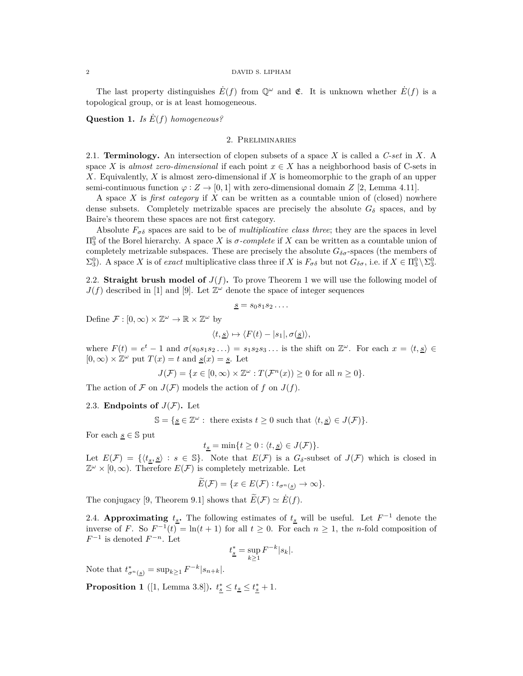#### 2 DAVID S. LIPHAM

The last property distinguishes  $E(f)$  from  $\mathbb{Q}^{\omega}$  and  $\mathfrak{E}$ . It is unknown whether  $E(f)$  is a topological group, or is at least homogeneous.

**Question 1.** *Is E*˙(*f*) *homogeneous?*

## 2. Preliminaries

2.1. **Terminology.** An intersection of clopen subsets of a space *X* is called a *C-set* in *X*. A space *X* is *almost zero-dimensional* if each point  $x \in X$  has a neighborhood basis of C-sets in *X*. Equivalently, *X* is almost zero-dimensional if *X* is homeomorphic to the graph of an upper semi-continuous function  $\varphi : Z \to [0,1]$  with zero-dimensional domain *Z* [\[2,](#page-4-8) Lemma 4.11].

A space *X* is *first category* if *X* can be written as a countable union of (closed) nowhere dense subsets. Completely metrizable spaces are precisely the absolute  $G_{\delta}$  spaces, and by Baire's theorem these spaces are not first category.

Absolute  $F_{\sigma\delta}$  spaces are said to be of *multiplicative class three*; they are the spaces in level  $\Pi_3^0$  of the Borel hierarchy. A space *X* is *σ-complete* if *X* can be written as a countable union of completely metrizable subspaces. These are precisely the absolute  $G_{\delta\sigma}$ -spaces (the members of  $\Sigma_3^0$ ). A space *X* is of *exact* multiplicative class three if *X* is  $F_{\sigma\delta}$  but not  $G_{\delta\sigma}$ , i.e. if  $X \in \Pi_3^0 \setminus \Sigma_3^0$ .

2.2. **Straight brush model of**  $J(f)$ . To prove Theorem 1 we will use the following model of  $J(f)$  described in [\[1\]](#page-4-1) and [\[9\]](#page-4-9). Let  $\mathbb{Z}^{\omega}$  denote the space of integer sequences

$$
\underline{s}=s_0s_1s_2\ldots
$$

Define  $\mathcal{F} : [0, \infty) \times \mathbb{Z}^{\omega} \to \mathbb{R} \times \mathbb{Z}^{\omega}$  by

$$
\langle t, \underline{s} \rangle \mapsto \langle F(t) - |s_1|, \sigma(\underline{s}) \rangle,
$$

where  $F(t) = e^t - 1$  and  $\sigma(s_0 s_1 s_2 \ldots) = s_1 s_2 s_3 \ldots$  is the shift on  $\mathbb{Z}^\omega$ . For each  $x = \langle t, \underline{s} \rangle \in$  $[0, \infty) \times \mathbb{Z}^{\omega}$  put  $T(x) = t$  and  $\underline{s}(x) = \underline{s}$ . Let

$$
J(\mathcal{F}) = \{ x \in [0, \infty) \times \mathbb{Z}^{\omega} : T(\mathcal{F}^n(x)) \ge 0 \text{ for all } n \ge 0 \}.
$$

The action of F on  $J(F)$  models the action of f on  $J(f)$ .

#### 2.3. **Endpoints of**  $J(F)$ . Let

 $\mathbb{S} = \{ \underline{s} \in \mathbb{Z}^{\omega} : \text{ there exists } t \geq 0 \text{ such that } \langle t, \underline{s} \rangle \in J(\mathcal{F}) \}.$ 

For each  $s \in \mathbb{S}$  put

$$
t_{\underline{s}}=\min\{t\geq 0: \langle t, \underline{s}\rangle \in J(\mathcal{F})\}.
$$

Let  $E(\mathcal{F}) = \{ \langle t_s, \underline{s} \rangle : s \in \mathbb{S} \}.$  Note that  $E(\mathcal{F})$  is a  $G_\delta$ -subset of  $J(\mathcal{F})$  which is closed in  $\mathbb{Z}^{\omega} \times [0, \infty)$ . Therefore  $E(\mathcal{F})$  is completely metrizable. Let

$$
E(\mathcal{F}) = \{ x \in E(\mathcal{F}) : t_{\sigma^n(\underline{s})} \to \infty \}.
$$

The conjugacy [\[9,](#page-4-9) Theorem 9.1] shows that  $\widetilde{E}(\mathcal{F}) \simeq \dot{E}(f)$ .

2.4. **Approximating**  $t_s$ . The following estimates of  $t_s$  will be useful. Let  $F^{-1}$  denote the inverse of *F*. So  $F^{-1}(t) = \ln(t+1)$  for all  $t \ge 0$ . For each  $n \ge 1$ , the *n*-fold composition of  $F^{-1}$  is denoted  $F^{-n}$ . Let

$$
t_{\underline{s}}^* = \sup_{k \ge 1} F^{-k} |s_k|.
$$

Note that  $t^*_{\sigma^n({\bf s})} = \sup_{k \geq 1} F^{-k} |s_{n+k}|.$ 

**Proposition 1** ([\[1,](#page-4-1) Lemma 3.8]).  $t_{\frac{s}{s}} \leq t_{\frac{s}{s}} \leq t_{\frac{s}{s}} + 1$ .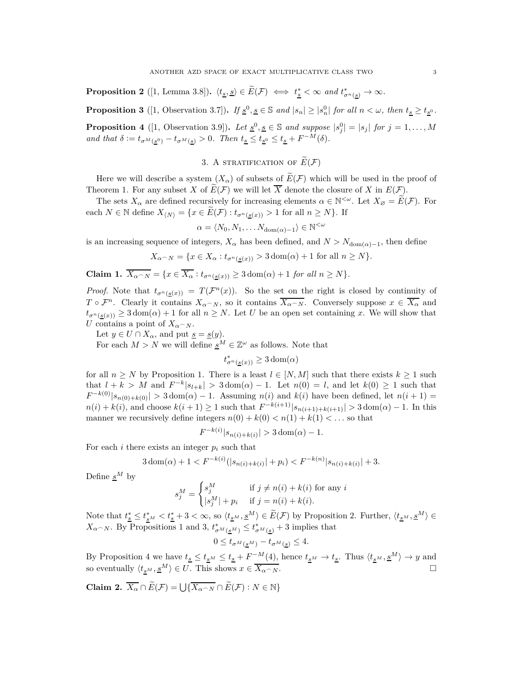**Proposition 2** ([\[1,](#page-4-1) Lemma 3.8]).  $\langle t_{\underline{s}}, \underline{s} \rangle \in \widetilde{E}(\mathcal{F}) \iff t_{\underline{s}}^* < \infty$  and  $t_{\sigma^n(\underline{s})}^* \to \infty$ .

**Proposition 3** ([\[1,](#page-4-1) Observation 3.7]). If  $\underline{s}^0, \underline{s} \in \mathbb{S}$  and  $|s_n| \ge |s_n^0|$  for all  $n < \omega$ , then  $t_{\underline{s}} \ge t_{\underline{s}^0}$ . **Proposition 4** ([\[1,](#page-4-1) Observation 3.9]). Let  $\underline{s}^0, \underline{s} \in \mathbb{S}$  and suppose  $|s_j^0| = |s_j|$  for  $j = 1, ..., M$ *and that*  $\delta := t_{\sigma^M(\underline{s}^0)} - t_{\sigma^M(\underline{s})} > 0$ *. Then*  $t_{\underline{s}} \leq t_{\underline{s}^0} \leq t_{\underline{s}} + F^{-M}(\delta)$ *.* 

# 3. A STRATIFICATION OF  $\widetilde{E}(\mathcal{F})$

Here we will describe a system  $(X_{\alpha})$  of subsets of  $\widetilde{E}(\mathcal{F})$  which will be used in the proof of Theorem 1. For any subset *X* of  $\widetilde{E}(\mathcal{F})$  we will let  $\overline{X}$  denote the closure of *X* in  $E(\mathcal{F})$ .

The sets  $X_{\alpha}$  are defined recursively for increasing elements  $\alpha \in \mathbb{N}^{<\omega}$ . Let  $X_{\varnothing} = \widetilde{E}(\mathcal{F})$ . For each  $N \in \mathbb{N}$  define  $X_{\langle N \rangle} = \{x \in \widetilde{E}(\mathcal{F}) : t_{\sigma^n(s(x))} > 1 \text{ for all } n \geq N\}$ . If

$$
\alpha = \langle N_0, N_1, \dots N_{\text{dom}(\alpha) - 1} \rangle \in \mathbb{N}^{<\omega}
$$

is an increasing sequence of integers,  $X_\alpha$  has been defined, and  $N > N_{\text{dom}(\alpha)-1}$ , then define

$$
X_{\alpha \cap N} = \{ x \in X_{\alpha} : t_{\sigma^n(\underline{s}(x))} > 3 \operatorname{dom}(\alpha) + 1 \text{ for all } n \ge N \}.
$$

**Claim 1.**  $\overline{X_{\alpha} \cap N} = \{x \in \overline{X_{\alpha}} : t_{\sigma^n(s(x))} \geq 3 \text{ dom}(\alpha) + 1 \text{ for all } n \geq N\}.$ 

*Proof.* Note that  $t_{\sigma^n(g(x))} = T(\mathcal{F}^n(x))$ . So the set on the right is closed by continuity of *T*  $\circ$  *F<sup>n</sup>*. Clearly it contains  $X_{\alpha \cap N}$ , so it contains  $\overline{X_{\alpha \cap N}}$ . Conversely suppose  $x \in \overline{X_{\alpha}}$  and  $t_{\sigma^{n}(s(x))} \geq 3 \text{ dom}(\alpha) + 1$  for all  $n \geq N$ . Let *U* be an open set containing *x*. We will show that *U* contains a point of  $X_{\alpha \cap N}$ .

Let  $y \in U \cap X_\alpha$ , and put <u> $s = s(y)$ </u>.

For each  $M > N$  we will define  $\underline{s}^M \in \mathbb{Z}^\omega$  as follows. Note that

 $t^*_{\sigma^n(\underline{s}(x))} \geq 3 \text{ dom}(\alpha)$ 

for all  $n \geq N$  by Proposition 1. There is a least  $l \in [N, M]$  such that there exists  $k \geq 1$  such that  $l + k > M$  and  $F^{-k} |s_{l+k}| > 3$  dom $(\alpha) - 1$ . Let  $n(0) = l$ , and let  $k(0) \ge 1$  such that  $F^{-k(0)}|s_{n(0)+k(0)}| > 3$  dom $(\alpha) - 1$ . Assuming *n*(*i*) and *k*(*i*) have been defined, let  $n(i + 1) =$  $n(i) + k(i)$ , and choose  $k(i + 1) \ge 1$  such that  $F^{-k(i+1)}|s_{n(i+1)+k(i+1)}| > 3$  dom( $\alpha$ ) − 1. In this manner we recursively define integers  $n(0) + k(0) < n(1) + k(1) < \dots$  so that

$$
F^{-k(i)}|s_{n(i)+k(i)}| > 3 \operatorname{dom}(\alpha) - 1.
$$

For each *i* there exists an integer  $p_i$  such that

$$
3\operatorname{dom}(\alpha) + 1 < F^{-k(i)}(|s_{n(i)+k(i)}| + p_i) < F^{-k(n)}|s_{n(i)+k(i)}| + 3.
$$

Define  $s^M$  by

$$
s_j^M = \begin{cases} s_j^M & \text{if } j \neq n(i) + k(i) \text{ for any } i\\ |s_j^M| + p_i & \text{if } j = n(i) + k(i). \end{cases}
$$

Note that  $t_{\underline{s}}^* \leq t_{\underline{s}^M}^* < t_{\underline{s}}^* + 3 < \infty$ , so  $\langle t_{\underline{s}^M}, \underline{s}^M \rangle \in E(\mathcal{F})$  by Proposition 2. Further,  $\langle t_{\underline{s}^M}, \underline{s}^M \rangle \in$ *X*<sub>*a*</sub> $\sim$ </sub> *N*. By Propositions 1 and 3,  $t^*_{\sigma^M(g^M)} \leq t^*_{\sigma^M(g)} + 3$  implies that

$$
0 \le t_{\sigma^M(\underline{s}^M)} - t_{\sigma^M(\underline{s})} \le 4.
$$

By Proposition 4 we have  $t_{\underline{s}} \leq t_{\underline{s}^M} \leq t_{\underline{s}} + F^{-M}(4)$ , hence  $t_{\underline{s}^M} \to t_{\underline{s}}$ . Thus  $\langle t_{\underline{s}^M}, \underline{s}^M \rangle \to y$  and so eventually  $\langle t_{\underline{s}^M}, \underline{s}^M \rangle \in U$ . This shows  $x \in \overline{X_{\alpha \cap N}}$ .

**Claim 2.**  $\overline{X_{\alpha}} \cap \overline{E}(\mathcal{F}) = \bigcup \{ \overline{X_{\alpha} \cap N} \cap \overline{E}(\mathcal{F}) : N \in \mathbb{N} \}$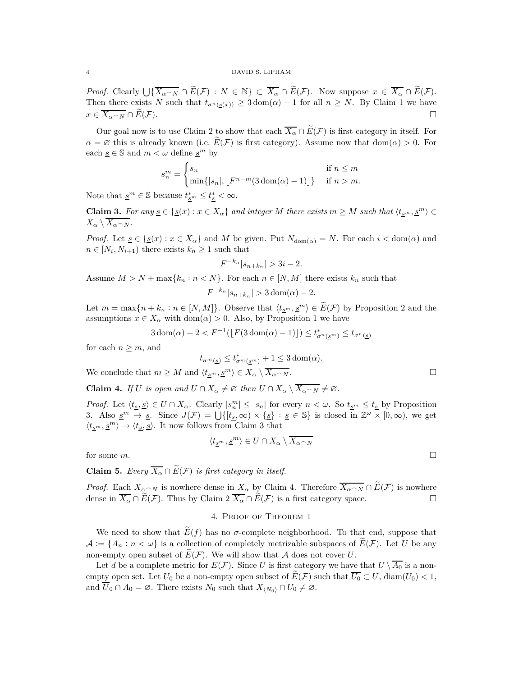*Proof.* Clearly  $\bigcup \{ \overline{X_{\alpha} \cap N} \cap \widetilde{E}(\mathcal{F}) : N \in \mathbb{N} \} \subset \overline{X_{\alpha}} \cap \widetilde{E}(\mathcal{F})$ . Now suppose  $x \in \overline{X_{\alpha}} \cap \widetilde{E}(\mathcal{F})$ . Then there exists *N* such that  $t_{\sigma^n(s(x))} \geq 3 \text{ dom}(\alpha) + 1$  for all  $n \geq N$ . By Claim 1 we have  $x \in \overline{X_{\alpha \cap N}} \cap E(\mathcal{F}).$ 

Our goal now is to use Claim 2 to show that each  $\overline{X_\alpha} \cap \widetilde{E}(\mathcal{F})$  is first category in itself. For  $\alpha = \varnothing$  this is already known (i.e.  $E(F)$  is first category). Assume now that dom( $\alpha$ ) > 0. For each  $\underline{s} \in \mathbb{S}$  and  $m < \omega$  define  $\underline{s}^m$  by

$$
s_n^m = \begin{cases} s_n & \text{if } n \le m \\ \min\{|s_n|, \lfloor F^{n-m}(3\operatorname{dom}(\alpha) - 1)\rfloor\} & \text{if } n > m. \end{cases}
$$

Note that  $\underline{s}^m \in \mathbb{S}$  because  $t^*_{\underline{s}^m} \leq t^*_{\underline{s}} < \infty$ .

**Claim 3.** For any  $\underline{s} \in \{ \underline{s}(x) : x \in X_\alpha \}$  and integer M there exists  $m \geq M$  such that  $\langle t_{s^m}, \underline{s^m} \rangle \in$  $X_{\alpha} \setminus X_{\alpha \cap N}$ *.* 

*Proof.* Let  $\underline{s} \in \{ \underline{s}(x) : x \in X_\alpha \}$  and *M* be given. Put  $N_{\text{dom}(\alpha)} = N$ . For each  $i < \text{dom}(\alpha)$  and  $n \in [N_i, N_{i+1})$  there exists  $k_n \geq 1$  such that

$$
F^{-k_n}|s_{n+k_n}| > 3i - 2.
$$

Assume  $M > N + \max\{k_n : n < N\}$ . For each  $n \in [N, M]$  there exists  $k_n$  such that

$$
F^{-k_n}|s_{n+k_n}| > 3 \operatorname{dom}(\alpha) - 2.
$$

Let  $m = \max\{n + k_n : n \in [N, M]\}$ . Observe that  $\langle t_{\underline{s}^m}, \underline{s}^m \rangle \in \widetilde{E}(\mathcal{F})$  by Proposition 2 and the assumptions  $x \in X_\alpha$  with dom( $\alpha$ ) > 0. Also, by Proposition 1 we have

$$
3\operatorname{dom}(\alpha) - 2 < F^{-1}(\lfloor F(3\operatorname{dom}(\alpha) - 1) \rfloor) \le t_{\sigma^n(\underline{s}^m)}^* \le t_{\sigma^n(\underline{s})}
$$

for each  $n \geq m$ , and

$$
t_{\sigma^m(\underline{s})}\leq t^*_{\sigma^m(\underline{s}^m)}+1\leq 3\operatorname{dom}(\alpha).
$$

We conclude that  $m \geq M$  and  $\langle t_{s^m}, \underline{s^m} \rangle \in X_\alpha \setminus \overline{X_{\alpha \cap N}}$ .

**Claim 4.** *If U is open and*  $U \cap X_\alpha \neq \emptyset$  *then*  $U \cap X_\alpha \setminus \overline{X_{\alpha \cap N}} \neq \emptyset$ .

*Proof.* Let  $\langle t_{\underline{s}}, \underline{s} \rangle \in U \cap X_\alpha$ . Clearly  $|s_n^m| \leq |s_n|$  for every  $n < \omega$ . So  $t_{\underline{s}^m} \leq t_{\underline{s}}$  by Proposition 3. Also  $\underline{s}^m \to \underline{s}$ . Since  $J(\mathcal{F}) = \bigcup \{ [t_{\underline{s}}, \infty) \times \{\underline{s} \} : \underline{s} \in \mathbb{S} \}$  is closed in  $\mathbb{Z}^{\omega} \times [0, \infty)$ , we get  $\langle t_{\underline{s}^m}, \underline{s}^m \rangle \rightarrow \langle t_{\underline{s}}, \underline{s} \rangle.$  It now follows from Claim 3 that

$$
\langle t_{\underline{s}^m}, \underline{s}^m \rangle \in U \cap X_\alpha \setminus \overline{X_{\alpha \frown N}}
$$

for some  $m$ .

**Claim 5.** *Every*  $\overline{X_{\alpha}} \cap \widetilde{E}(\mathcal{F})$  *is first category in itself.* 

*Proof.* Each  $X_{\alpha \cap N}$  is nowhere dense in  $X_{\alpha}$  by Claim 4. Therefore  $\overline{X_{\alpha \cap N}} \cap \widetilde{E}(\mathcal{F})$  is nowhere dense in  $\overline{X_{\alpha}} \cap \widetilde{E}(\mathcal{F})$ . Thus by Claim 2  $\overline{X_{\alpha}} \cap \widetilde{E}(\mathcal{F})$  is a first category space dense in  $\overline{X_{\alpha}} \cap \overline{E}(\mathcal{F})$ . Thus by Claim 2  $\overline{X_{\alpha}} \cap \overline{E}(\mathcal{F})$  is a first category space.

## 4. Proof of Theorem 1

We need to show that  $E(f)$  has no  $\sigma$ -complete neighborhood. To that end, suppose that  $\mathcal{A} := \{A_n : n < \omega\}$  is a collection of completely metrizable subspaces of  $E(\mathcal{F})$ . Let U be any non-empty open subset of  $E(F)$ . We will show that A does not cover U.

Let *d* be a complete metric for  $E(\mathcal{F})$ . Since *U* is first category we have that  $U \setminus \overline{A_0}$  is a nonempty open set. Let  $U_0$  be a non-empty open subset of  $E(F)$  such that  $\overline{U_0} \subset U$ ,  $\text{diam}(U_0) < 1$ , and  $\overline{U}_0 \cap A_0 = \emptyset$ . There exists  $N_0$  such that  $X_{N_0} \cap U_0 \neq \emptyset$ .